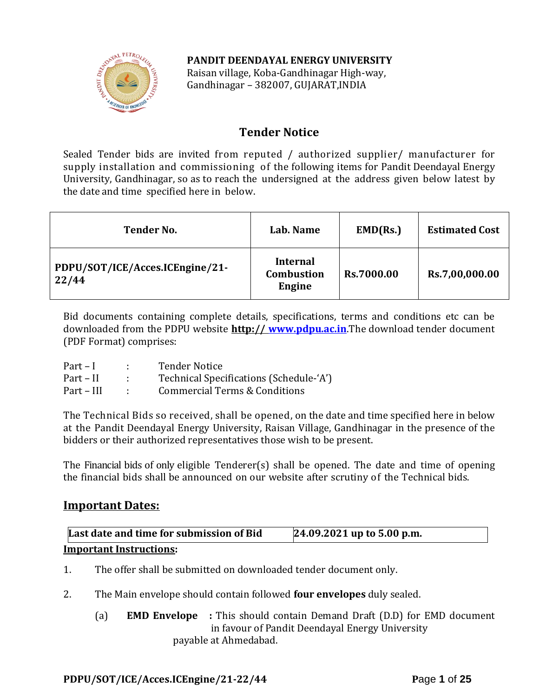## **PANDIT DEENDAYAL ENERGY UNIVERSITY**



Raisan village, Koba-Gandhinagar High-way, Gandhinagar – 382007, GUJARAT,INDIA

# **Tender Notice**

Sealed Tender bids are invited from reputed / authorized supplier/ manufacturer for supply installation and commissioning of the following items for Pandit Deendayal Energy University, Gandhinagar, so as to reach the undersigned at the address given below latest by the date and time specified here in below.

| <b>Tender No.</b>                        | Lab. Name                                      | EMD(Rs.)          | <b>Estimated Cost</b> |
|------------------------------------------|------------------------------------------------|-------------------|-----------------------|
| PDPU/SOT/ICE/Acces.ICEngine/21-<br>22/44 | <b>Internal</b><br><b>Combustion</b><br>Engine | <b>Rs.7000.00</b> | Rs.7,00,000.00        |

Bid documents containing complete details, specifications, terms and conditions etc can be downloaded from the PDPU website **http:// [www.pdpu.ac.in](http://www.pdpu.ac.in/)**.The download tender document (PDF Format) comprises:

| $Part-I$   | <b>Tender Notice</b>                    |
|------------|-----------------------------------------|
| Part – II  | Technical Specifications (Schedule-'A') |
| Part – III | Commercial Terms & Conditions           |

The Technical Bids so received, shall be opened, on the date and time specified here in below at the Pandit Deendayal Energy University, Raisan Village, Gandhinagar in the presence of the bidders or their authorized representatives those wish to be present.

The Financial bids of only eligible Tenderer(s) shall be opened. The date and time of opening the financial bids shall be announced on our website after scrutiny of the Technical bids.

# **Important Dates:**

| Last date and time for submission of Bid | 24.09.2021 up to 5.00 p.m. |
|------------------------------------------|----------------------------|
| <b>Important Instructions:</b>           |                            |

- 1. The offer shall be submitted on downloaded tender document only.
- 2. The Main envelope should contain followed **four envelopes** duly sealed.
	- (a) **EMD Envelope :** This should contain Demand Draft (D.D) for EMD document in favour of Pandit Deendayal Energy University payable at Ahmedabad.

## **PDPU/SOT/ICE/Acces.ICEngine/21-22/44 P**age **1** of **25**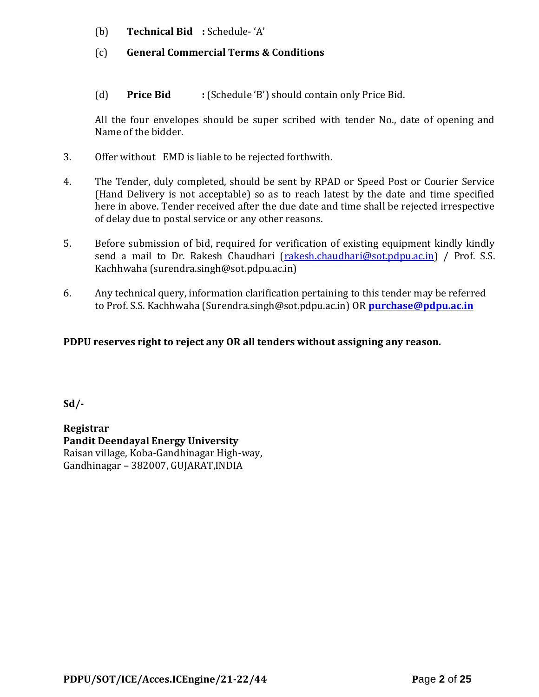- (b) **Technical Bid :** Schedule- 'A'
- (c) **General Commercial Terms & Conditions**
- (d) **Price Bid :** (Schedule 'B') should contain only Price Bid.

All the four envelopes should be super scribed with tender No., date of opening and Name of the bidder.

- 3. Offer without EMD is liable to be rejected forthwith.
- 4. The Tender, duly completed, should be sent by RPAD or Speed Post or Courier Service (Hand Delivery is not acceptable) so as to reach latest by the date and time specified here in above. Tender received after the due date and time shall be rejected irrespective of delay due to postal service or any other reasons.
- 5. Before submission of bid, required for verification of existing equipment kindly kindly send a mail to Dr. Rakesh Chaudhari [\(rakesh.chaudhari@sot.pdpu.ac.in\)](mailto:rakesh.chaudhari@sot.pdpu.ac.in) / Prof. S.S. Kachhwaha (surendra.singh@sot.pdpu.ac.in)
- 6. Any technical query, information clarification pertaining to this tender may be referred to Prof. S.S. Kachhwaha (Surendra.singh@sot.pdpu.ac.in) OR **[purchase@pdpu.ac.in](mailto:purchase@pdpu.ac.in)**

## **PDPU reserves right to reject any OR all tenders without assigning any reason.**

**Sd/-**

**Registrar Pandit Deendayal Energy University** Raisan village, Koba-Gandhinagar High-way, Gandhinagar – 382007, GUJARAT,INDIA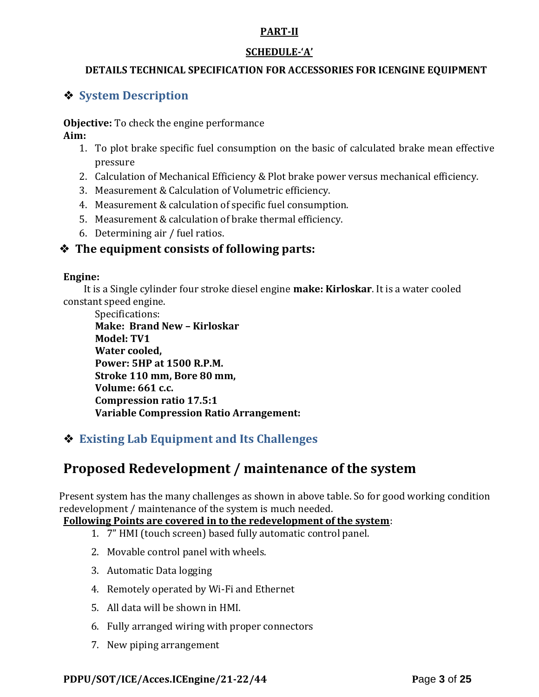## **PART-II**

## **SCHEDULE-'A'**

## **DETAILS TECHNICAL SPECIFICATION FOR ACCESSORIES FOR ICENGINE EQUIPMENT**

# ❖ **System Description**

**Objective:** To check the engine performance **Aim:**

- 1. To plot brake specific fuel consumption on the basic of calculated brake mean effective pressure
- 2. Calculation of Mechanical Efficiency & Plot brake power versus mechanical efficiency.
- 3. Measurement & Calculation of Volumetric efficiency.
- 4. Measurement & calculation of specific fuel consumption.
- 5. Measurement & calculation of brake thermal efficiency.
- 6. Determining air / fuel ratios.

# ❖ **The equipment consists of following parts:**

#### **Engine:**

 It is a Single cylinder four stroke diesel engine **make: Kirloskar**. It is a water cooled constant speed engine.

Specifications: **Make: Brand New – Kirloskar Model: TV1 Water cooled, Power: 5HP at 1500 R.P.M. Stroke 110 mm, Bore 80 mm, Volume: 661 c.c. Compression ratio 17.5:1 Variable Compression Ratio Arrangement:**

# ❖ **Existing Lab Equipment and Its Challenges**

# **Proposed Redevelopment / maintenance of the system**

Present system has the many challenges as shown in above table. So for good working condition redevelopment / maintenance of the system is much needed.

## **Following Points are covered in to the redevelopment of the system**:

- 1. 7" HMI (touch screen) based fully automatic control panel.
- 2. Movable control panel with wheels.
- 3. Automatic Data logging
- 4. Remotely operated by Wi-Fi and Ethernet
- 5. All data will be shown in HMI.
- 6. Fully arranged wiring with proper connectors
- 7. New piping arrangement

## **PDPU/SOT/ICE/Acces.ICEngine/21-22/44 P**age **3** of **25**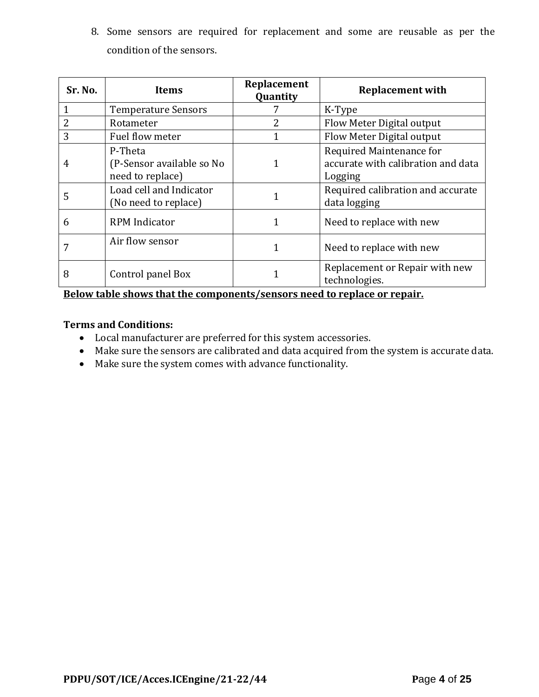8. Some sensors are required for replacement and some are reusable as per the condition of the sensors.

| Sr. No. | Items                                                    | Replacement<br>Quantity | <b>Replacement with</b>                                                   |
|---------|----------------------------------------------------------|-------------------------|---------------------------------------------------------------------------|
|         | <b>Temperature Sensors</b>                               |                         | K-Type                                                                    |
| 2       | Rotameter                                                | 2                       | Flow Meter Digital output                                                 |
| 3       | Fuel flow meter                                          |                         | Flow Meter Digital output                                                 |
| 4       | P-Theta<br>(P-Sensor available so No<br>need to replace) |                         | Required Maintenance for<br>accurate with calibration and data<br>Logging |
| 5       | Load cell and Indicator<br>(No need to replace)          |                         | Required calibration and accurate<br>data logging                         |
| 6       | <b>RPM</b> Indicator                                     |                         | Need to replace with new                                                  |
|         | Air flow sensor                                          |                         | Need to replace with new                                                  |
| 8       | Control panel Box<br>.                                   |                         | Replacement or Repair with new<br>technologies.                           |

**Below table shows that the components/sensors need to replace or repair.**

### **Terms and Conditions:**

- Local manufacturer are preferred for this system accessories.
- Make sure the sensors are calibrated and data acquired from the system is accurate data.
- Make sure the system comes with advance functionality.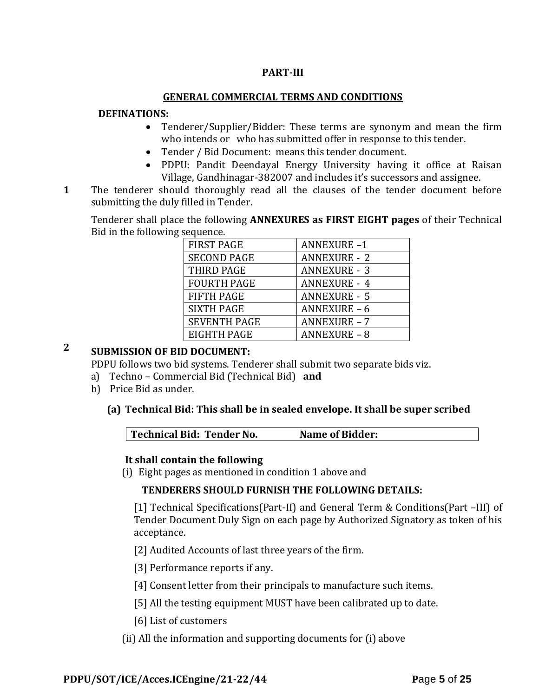### **PART-III**

#### **GENERAL COMMERCIAL TERMS AND CONDITIONS**

#### **DEFINATIONS:**

- Tenderer/Supplier/Bidder: These terms are synonym and mean the firm who intends or who has submitted offer in response to this tender.
- Tender / Bid Document: means this tender document.
- PDPU: Pandit Deendayal Energy University having it office at Raisan Village, Gandhinagar-382007 and includes it's successors and assignee.
- **1**1. The tenderer should thoroughly read all the clauses of the tender document before submitting the duly filled in Tender.

Tenderer shall place the following **ANNEXURES as FIRST EIGHT pages** of their Technical Bid in the following sequence.

| <b>FIRST PAGE</b>   | <b>ANNEXURE-1</b>   |
|---------------------|---------------------|
| <b>SECOND PAGE</b>  | <b>ANNEXURE - 2</b> |
| THIRD PAGE          | <b>ANNEXURE - 3</b> |
| <b>FOURTH PAGE</b>  | <b>ANNEXURE - 4</b> |
| <b>FIFTH PAGE</b>   | <b>ANNEXURE - 5</b> |
| <b>SIXTH PAGE</b>   | <b>ANNEXURE - 6</b> |
| <b>SEVENTH PAGE</b> | <b>ANNEXURE - 7</b> |
| EIGHTH PAGE         | <b>ANNEXURE - 8</b> |

# **2 SUBMISSION OF BID DOCUMENT:**

PDPU follows two bid systems. Tenderer shall submit two separate bids viz.

- a) Techno Commercial Bid (Technical Bid) **and**
- b) Price Bid as under.

#### **(a) Technical Bid: This shall be in sealed envelope. It shall be super scribed**

|  | Technical Bid: Tender No.<br><b>Name of Bidder:</b> |  |
|--|-----------------------------------------------------|--|
|--|-----------------------------------------------------|--|

#### **It shall contain the following**

(i) Eight pages as mentioned in condition 1 above and

#### **TENDERERS SHOULD FURNISH THE FOLLOWING DETAILS:**

[1] Technical Specifications(Part-II) and General Term & Conditions(Part –III) of Tender Document Duly Sign on each page by Authorized Signatory as token of his acceptance.

[2] Audited Accounts of last three years of the firm.

[3] Performance reports if any.

[4] Consent letter from their principals to manufacture such items.

- [5] All the testing equipment MUST have been calibrated up to date.
- [6] List of customers
- (ii) All the information and supporting documents for (i) above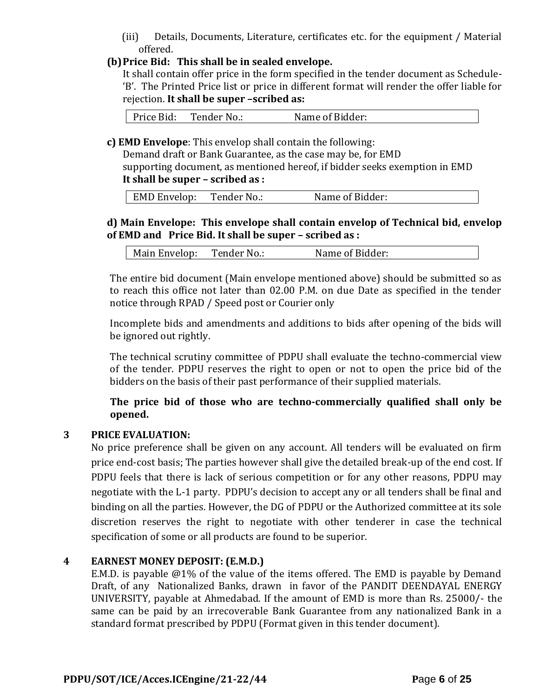(iii) Details, Documents, Literature, certificates etc. for the equipment / Material offered.

## **(b)Price Bid: This shall be in sealed envelope.**

It shall contain offer price in the form specified in the tender document as Schedule- 'B'. The Printed Price list or price in different format will render the offer liable for rejection. **It shall be super –scribed as:**

Price Bid: Tender No.: Name of Bidder:

**c) EMD Envelope**: This envelop shall contain the following:

Demand draft or Bank Guarantee, as the case may be, for EMD supporting document, as mentioned hereof, if bidder seeks exemption in EMD **It shall be super – scribed as :**

|  | EMD Envelop: | Tender No.: | Name of Bidder: |
|--|--------------|-------------|-----------------|
|--|--------------|-------------|-----------------|

## **d) Main Envelope: This envelope shall contain envelop of Technical bid, envelop of EMD and Price Bid. It shall be super – scribed as :**

| Main Envelop:<br>Name of Bidder:<br>Tender No.: |  |
|-------------------------------------------------|--|
|-------------------------------------------------|--|

The entire bid document (Main envelope mentioned above) should be submitted so as to reach this office not later than 02.00 P.M. on due Date as specified in the tender notice through RPAD / Speed post or Courier only

Incomplete bids and amendments and additions to bids after opening of the bids will be ignored out rightly.

The technical scrutiny committee of PDPU shall evaluate the techno-commercial view of the tender. PDPU reserves the right to open or not to open the price bid of the bidders on the basis of their past performance of their supplied materials.

**The price bid of those who are techno-commercially qualified shall only be opened.** 

## **3 PRICE EVALUATION:**

No price preference shall be given on any account. All tenders will be evaluated on firm price end-cost basis; The parties however shall give the detailed break-up of the end cost. If PDPU feels that there is lack of serious competition or for any other reasons, PDPU may negotiate with the L-1 party. PDPU's decision to accept any or all tenders shall be final and binding on all the parties. However, the DG of PDPU or the Authorized committee at its sole discretion reserves the right to negotiate with other tenderer in case the technical specification of some or all products are found to be superior.

## **4 EARNEST MONEY DEPOSIT: (E.M.D.)**

E.M.D. is payable @1% of the value of the items offered. The EMD is payable by Demand Draft, of any Nationalized Banks, drawn in favor of the PANDIT DEENDAYAL ENERGY UNIVERSITY, payable at Ahmedabad. If the amount of EMD is more than Rs. 25000/- the same can be paid by an irrecoverable Bank Guarantee from any nationalized Bank in a standard format prescribed by PDPU (Format given in this tender document).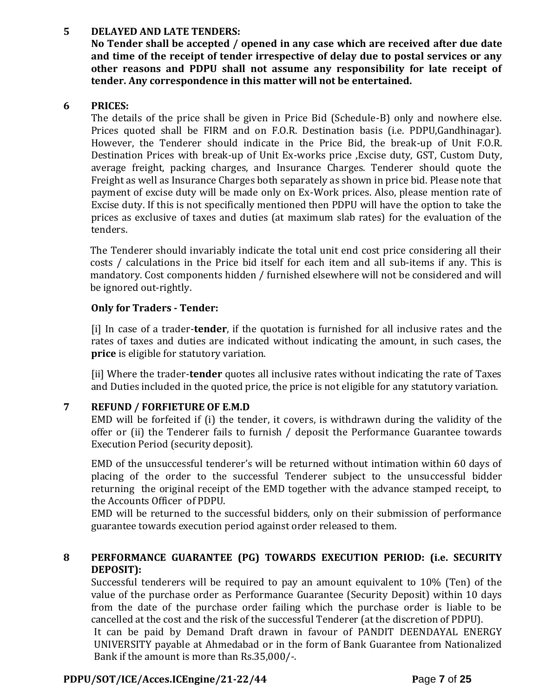## **5 DELAYED AND LATE TENDERS:**

**No Tender shall be accepted / opened in any case which are received after due date and time of the receipt of tender irrespective of delay due to postal services or any other reasons and PDPU shall not assume any responsibility for late receipt of tender. Any correspondence in this matter will not be entertained.**

### **6 PRICES:**

The details of the price shall be given in Price Bid (Schedule-B) only and nowhere else. Prices quoted shall be FIRM and on F.O.R. Destination basis (i.e. PDPU,Gandhinagar). However, the Tenderer should indicate in the Price Bid, the break-up of Unit F.O.R. Destination Prices with break-up of Unit Ex-works price ,Excise duty, GST, Custom Duty, average freight, packing charges, and Insurance Charges. Tenderer should quote the Freight as well as Insurance Charges both separately as shown in price bid. Please note that payment of excise duty will be made only on Ex-Work prices. Also, please mention rate of Excise duty. If this is not specifically mentioned then PDPU will have the option to take the prices as exclusive of taxes and duties (at maximum slab rates) for the evaluation of the tenders.

The Tenderer should invariably indicate the total unit end cost price considering all their costs / calculations in the Price bid itself for each item and all sub-items if any. This is mandatory. Cost components hidden / furnished elsewhere will not be considered and will be ignored out-rightly.

## **Only for Traders - Tender:**

[i] In case of a trader-**tender**, if the quotation is furnished for all inclusive rates and the rates of taxes and duties are indicated without indicating the amount, in such cases, the **price** is eligible for statutory variation.

[ii] Where the trader-**tender** quotes all inclusive rates without indicating the rate of Taxes and Duties included in the quoted price, the price is not eligible for any statutory variation.

## **7 REFUND / FORFIETURE OF E.M.D**

EMD will be forfeited if (i) the tender, it covers, is withdrawn during the validity of the offer or (ii) the Tenderer fails to furnish / deposit the Performance Guarantee towards Execution Period (security deposit).

EMD of the unsuccessful tenderer's will be returned without intimation within 60 days of placing of the order to the successful Tenderer subject to the unsuccessful bidder returning the original receipt of the EMD together with the advance stamped receipt, to the Accounts Officer of PDPU.

EMD will be returned to the successful bidders, only on their submission of performance guarantee towards execution period against order released to them.

## **8 PERFORMANCE GUARANTEE (PG) TOWARDS EXECUTION PERIOD: (i.e. SECURITY DEPOSIT):**

Successful tenderers will be required to pay an amount equivalent to 10% (Ten) of the value of the purchase order as Performance Guarantee (Security Deposit) within 10 days from the date of the purchase order failing which the purchase order is liable to be cancelled at the cost and the risk of the successful Tenderer (at the discretion of PDPU).

It can be paid by Demand Draft drawn in favour of PANDIT DEENDAYAL ENERGY UNIVERSITY payable at Ahmedabad or in the form of Bank Guarantee from Nationalized Bank if the amount is more than Rs.35,000/-.

## **PDPU/SOT/ICE/Acces.ICEngine/21-22/44 P**age **7** of **25**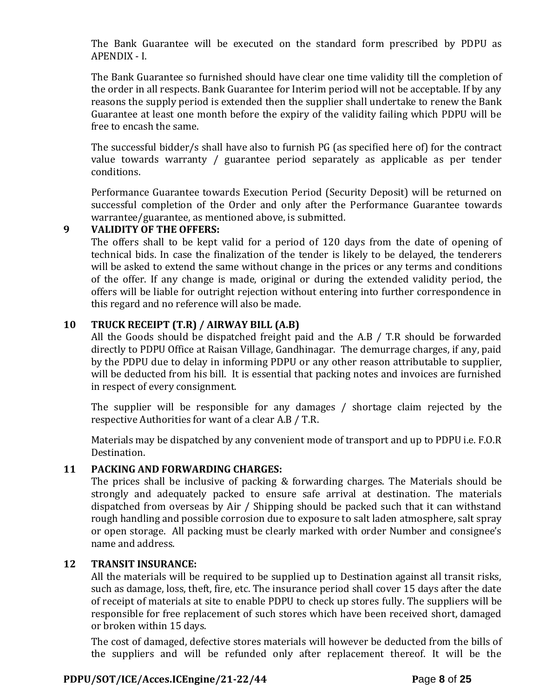The Bank Guarantee will be executed on the standard form prescribed by PDPU as APENDIX - I.

The Bank Guarantee so furnished should have clear one time validity till the completion of the order in all respects. Bank Guarantee for Interim period will not be acceptable. If by any reasons the supply period is extended then the supplier shall undertake to renew the Bank Guarantee at least one month before the expiry of the validity failing which PDPU will be free to encash the same.

The successful bidder/s shall have also to furnish PG (as specified here of) for the contract value towards warranty / guarantee period separately as applicable as per tender conditions.

Performance Guarantee towards Execution Period (Security Deposit) will be returned on successful completion of the Order and only after the Performance Guarantee towards warrantee/guarantee, as mentioned above, is submitted.

#### **9 VALIDITY OF THE OFFERS:**

The offers shall to be kept valid for a period of 120 days from the date of opening of technical bids. In case the finalization of the tender is likely to be delayed, the tenderers will be asked to extend the same without change in the prices or any terms and conditions of the offer. If any change is made, original or during the extended validity period, the offers will be liable for outright rejection without entering into further correspondence in this regard and no reference will also be made.

## **10 TRUCK RECEIPT (T.R) / AIRWAY BILL (A.B)**

All the Goods should be dispatched freight paid and the A.B / T.R should be forwarded directly to PDPU Office at Raisan Village, Gandhinagar. The demurrage charges, if any, paid by the PDPU due to delay in informing PDPU or any other reason attributable to supplier, will be deducted from his bill. It is essential that packing notes and invoices are furnished in respect of every consignment.

The supplier will be responsible for any damages / shortage claim rejected by the respective Authorities for want of a clear A.B / T.R.

Materials may be dispatched by any convenient mode of transport and up to PDPU i.e. F.O.R Destination.

## **11 PACKING AND FORWARDING CHARGES:**

The prices shall be inclusive of packing & forwarding charges. The Materials should be strongly and adequately packed to ensure safe arrival at destination. The materials dispatched from overseas by Air / Shipping should be packed such that it can withstand rough handling and possible corrosion due to exposure to salt laden atmosphere, salt spray or open storage. All packing must be clearly marked with order Number and consignee's name and address.

#### **12 TRANSIT INSURANCE:**

All the materials will be required to be supplied up to Destination against all transit risks, such as damage, loss, theft, fire, etc. The insurance period shall cover 15 days after the date of receipt of materials at site to enable PDPU to check up stores fully. The suppliers will be responsible for free replacement of such stores which have been received short, damaged or broken within 15 days.

The cost of damaged, defective stores materials will however be deducted from the bills of the suppliers and will be refunded only after replacement thereof. It will be the

## **PDPU/SOT/ICE/Acces.ICEngine/21-22/44 P**age **8** of **25**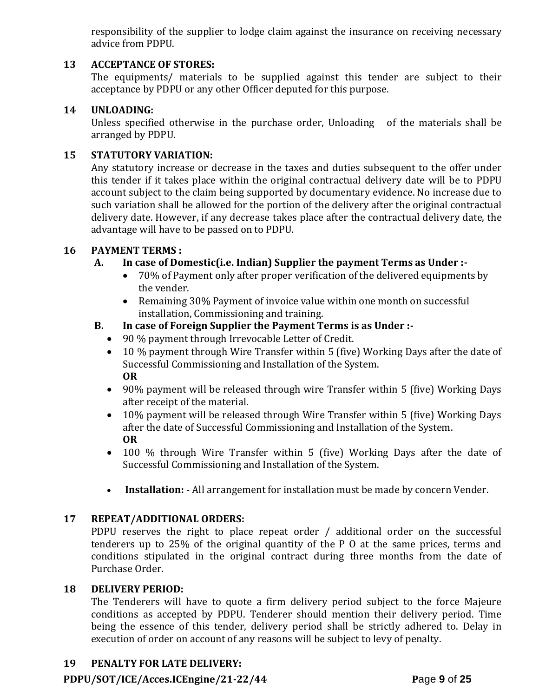responsibility of the supplier to lodge claim against the insurance on receiving necessary advice from PDPU.

## **13 ACCEPTANCE OF STORES:**

The equipments/ materials to be supplied against this tender are subject to their acceptance by PDPU or any other Officer deputed for this purpose.

#### **14 UNLOADING:**

Unless specified otherwise in the purchase order, Unloading of the materials shall be arranged by PDPU.

#### **15 STATUTORY VARIATION:**

Any statutory increase or decrease in the taxes and duties subsequent to the offer under this tender if it takes place within the original contractual delivery date will be to PDPU account subject to the claim being supported by documentary evidence. No increase due to such variation shall be allowed for the portion of the delivery after the original contractual delivery date. However, if any decrease takes place after the contractual delivery date, the advantage will have to be passed on to PDPU.

#### **16 PAYMENT TERMS :**

#### **A. In case of Domestic(i.e. Indian) Supplier the payment Terms as Under :-**

- 70% of Payment only after proper verification of the delivered equipments by the vender.
- Remaining 30% Payment of invoice value within one month on successful installation, Commissioning and training.

#### **B. In case of Foreign Supplier the Payment Terms is as Under :-**

- 90 % payment through Irrevocable Letter of Credit.
- 10 % payment through Wire Transfer within 5 (five) Working Days after the date of Successful Commissioning and Installation of the System. **OR**
- 90% payment will be released through wire Transfer within 5 (five) Working Days after receipt of the material.
- 10% payment will be released through Wire Transfer within 5 (five) Working Days after the date of Successful Commissioning and Installation of the System. **OR**
- 100 % through Wire Transfer within 5 (five) Working Days after the date of Successful Commissioning and Installation of the System.
- **Installation:** All arrangement for installation must be made by concern Vender.

#### **17 REPEAT/ADDITIONAL ORDERS:**

PDPU reserves the right to place repeat order / additional order on the successful tenderers up to 25% of the original quantity of the P O at the same prices, terms and conditions stipulated in the original contract during three months from the date of Purchase Order.

#### **18 DELIVERY PERIOD:**

The Tenderers will have to quote a firm delivery period subject to the force Majeure conditions as accepted by PDPU. Tenderer should mention their delivery period. Time being the essence of this tender, delivery period shall be strictly adhered to. Delay in execution of order on account of any reasons will be subject to levy of penalty.

## **19 PENALTY FOR LATE DELIVERY:**

#### **PDPU/SOT/ICE/Acces.ICEngine/21-22/44 P**age **9** of **25**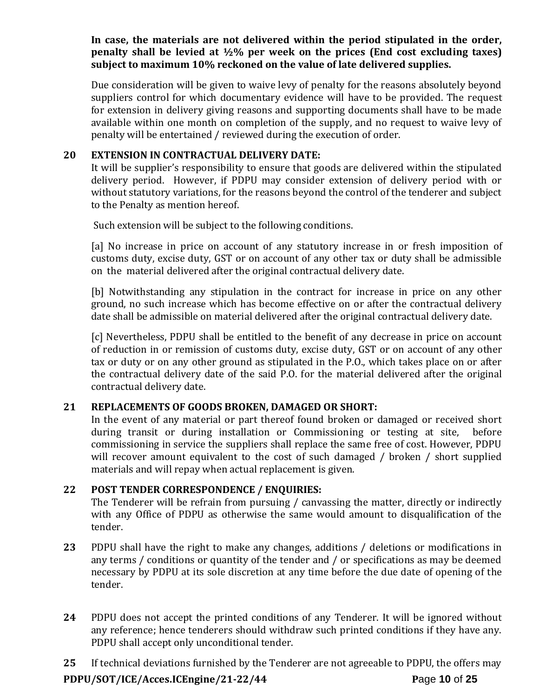**In case, the materials are not delivered within the period stipulated in the order, penalty shall be levied at ½% per week on the prices (End cost excluding taxes) subject to maximum 10% reckoned on the value of late delivered supplies.**

Due consideration will be given to waive levy of penalty for the reasons absolutely beyond suppliers control for which documentary evidence will have to be provided. The request for extension in delivery giving reasons and supporting documents shall have to be made available within one month on completion of the supply, and no request to waive levy of penalty will be entertained / reviewed during the execution of order.

## **20 EXTENSION IN CONTRACTUAL DELIVERY DATE:**

It will be supplier's responsibility to ensure that goods are delivered within the stipulated delivery period. However, if PDPU may consider extension of delivery period with or without statutory variations, for the reasons beyond the control of the tenderer and subject to the Penalty as mention hereof.

Such extension will be subject to the following conditions.

[a] No increase in price on account of any statutory increase in or fresh imposition of customs duty, excise duty, GST or on account of any other tax or duty shall be admissible on the material delivered after the original contractual delivery date.

[b] Notwithstanding any stipulation in the contract for increase in price on any other ground, no such increase which has become effective on or after the contractual delivery date shall be admissible on material delivered after the original contractual delivery date.

[c] Nevertheless, PDPU shall be entitled to the benefit of any decrease in price on account of reduction in or remission of customs duty, excise duty, GST or on account of any other tax or duty or on any other ground as stipulated in the P.O., which takes place on or after the contractual delivery date of the said P.O. for the material delivered after the original contractual delivery date.

#### **21 REPLACEMENTS OF GOODS BROKEN, DAMAGED OR SHORT:**

In the event of any material or part thereof found broken or damaged or received short during transit or during installation or Commissioning or testing at site, before commissioning in service the suppliers shall replace the same free of cost. However, PDPU will recover amount equivalent to the cost of such damaged / broken / short supplied materials and will repay when actual replacement is given.

#### **22 POST TENDER CORRESPONDENCE / ENQUIRIES:**

The Tenderer will be refrain from pursuing / canvassing the matter, directly or indirectly with any Office of PDPU as otherwise the same would amount to disqualification of the tender.

- **23** PDPU shall have the right to make any changes, additions / deletions or modifications in any terms / conditions or quantity of the tender and / or specifications as may be deemed necessary by PDPU at its sole discretion at any time before the due date of opening of the tender.
- **24** PDPU does not accept the printed conditions of any Tenderer. It will be ignored without any reference; hence tenderers should withdraw such printed conditions if they have any. PDPU shall accept only unconditional tender.

**PDPU/SOT/ICE/Acces.ICEngine/21-22/44 P**age **10** of **25 25** If technical deviations furnished by the Tenderer are not agreeable to PDPU, the offers may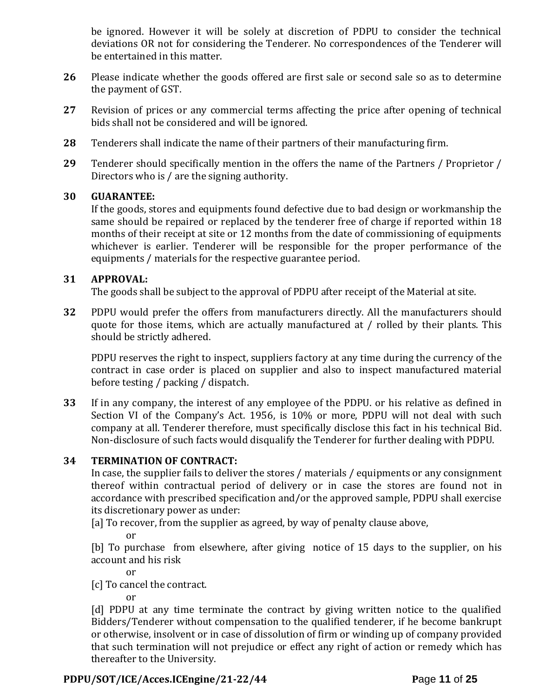be ignored. However it will be solely at discretion of PDPU to consider the technical deviations OR not for considering the Tenderer. No correspondences of the Tenderer will be entertained in this matter.

- **26** Please indicate whether the goods offered are first sale or second sale so as to determine the payment of GST.
- **27** Revision of prices or any commercial terms affecting the price after opening of technical bids shall not be considered and will be ignored.
- **28** Tenderers shall indicate the name of their partners of their manufacturing firm.
- **29** Tenderer should specifically mention in the offers the name of the Partners / Proprietor / Directors who is / are the signing authority.

#### **30 GUARANTEE:**

If the goods, stores and equipments found defective due to bad design or workmanship the same should be repaired or replaced by the tenderer free of charge if reported within 18 months of their receipt at site or 12 months from the date of commissioning of equipments whichever is earlier. Tenderer will be responsible for the proper performance of the equipments / materials for the respective guarantee period.

#### **31 APPROVAL:**

The goods shall be subject to the approval of PDPU after receipt of the Material at site.

**32** PDPU would prefer the offers from manufacturers directly. All the manufacturers should quote for those items, which are actually manufactured at / rolled by their plants. This should be strictly adhered.

PDPU reserves the right to inspect, suppliers factory at any time during the currency of the contract in case order is placed on supplier and also to inspect manufactured material before testing / packing / dispatch.

**33** If in any company, the interest of any employee of the PDPU. or his relative as defined in Section VI of the Company's Act. 1956, is 10% or more, PDPU will not deal with such company at all. Tenderer therefore, must specifically disclose this fact in his technical Bid. Non-disclosure of such facts would disqualify the Tenderer for further dealing with PDPU.

#### **34 TERMINATION OF CONTRACT:**

In case, the supplier fails to deliver the stores / materials / equipments or any consignment thereof within contractual period of delivery or in case the stores are found not in accordance with prescribed specification and/or the approved sample, PDPU shall exercise its discretionary power as under:

[a] To recover, from the supplier as agreed, by way of penalty clause above,

or

[b] To purchase from elsewhere, after giving notice of 15 days to the supplier, on his account and his risk

or

[c] To cancel the contract.

or

[d] PDPU at any time terminate the contract by giving written notice to the qualified Bidders/Tenderer without compensation to the qualified tenderer, if he become bankrupt or otherwise, insolvent or in case of dissolution of firm or winding up of company provided that such termination will not prejudice or effect any right of action or remedy which has thereafter to the University.

## **PDPU/SOT/ICE/Acces.ICEngine/21-22/44 P**age **11** of **25**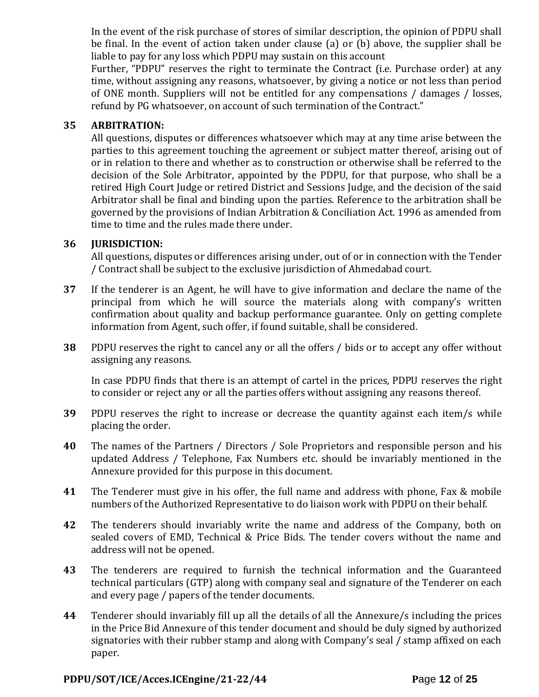In the event of the risk purchase of stores of similar description, the opinion of PDPU shall be final. In the event of action taken under clause (a) or (b) above, the supplier shall be liable to pay for any loss which PDPU may sustain on this account

Further, "PDPU" reserves the right to terminate the Contract (i.e. Purchase order) at any time, without assigning any reasons, whatsoever, by giving a notice or not less than period of ONE month. Suppliers will not be entitled for any compensations / damages / losses, refund by PG whatsoever, on account of such termination of the Contract."

## **35 ARBITRATION:**

All questions, disputes or differences whatsoever which may at any time arise between the parties to this agreement touching the agreement or subject matter thereof, arising out of or in relation to there and whether as to construction or otherwise shall be referred to the decision of the Sole Arbitrator, appointed by the PDPU, for that purpose, who shall be a retired High Court Judge or retired District and Sessions Judge, and the decision of the said Arbitrator shall be final and binding upon the parties. Reference to the arbitration shall be governed by the provisions of Indian Arbitration & Conciliation Act. 1996 as amended from time to time and the rules made there under.

## **36 JURISDICTION:**

All questions, disputes or differences arising under, out of or in connection with the Tender / Contract shall be subject to the exclusive jurisdiction of Ahmedabad court.

- **37** If the tenderer is an Agent, he will have to give information and declare the name of the principal from which he will source the materials along with company's written confirmation about quality and backup performance guarantee. Only on getting complete information from Agent, such offer, if found suitable, shall be considered.
- **38** PDPU reserves the right to cancel any or all the offers / bids or to accept any offer without assigning any reasons.

In case PDPU finds that there is an attempt of cartel in the prices, PDPU reserves the right to consider or reject any or all the parties offers without assigning any reasons thereof.

- **39** PDPU reserves the right to increase or decrease the quantity against each item/s while placing the order.
- **40** The names of the Partners / Directors / Sole Proprietors and responsible person and his updated Address / Telephone, Fax Numbers etc. should be invariably mentioned in the Annexure provided for this purpose in this document.
- **41** The Tenderer must give in his offer, the full name and address with phone, Fax & mobile numbers of the Authorized Representative to do liaison work with PDPU on their behalf.
- **42** The tenderers should invariably write the name and address of the Company, both on sealed covers of EMD, Technical & Price Bids. The tender covers without the name and address will not be opened.
- **43** The tenderers are required to furnish the technical information and the Guaranteed technical particulars (GTP) along with company seal and signature of the Tenderer on each and every page / papers of the tender documents.
- **44** Tenderer should invariably fill up all the details of all the Annexure/s including the prices in the Price Bid Annexure of this tender document and should be duly signed by authorized signatories with their rubber stamp and along with Company's seal / stamp affixed on each paper.

## **PDPU/SOT/ICE/Acces.ICEngine/21-22/44 P**age **12** of **25**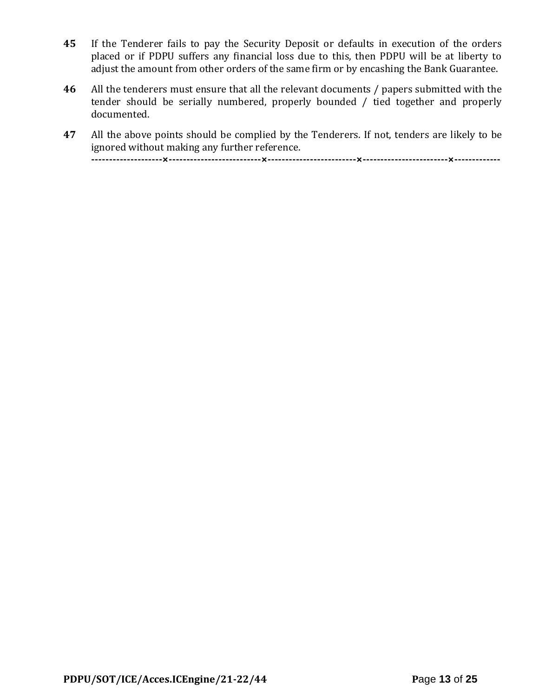- **45** If the Tenderer fails to pay the Security Deposit or defaults in execution of the orders placed or if PDPU suffers any financial loss due to this, then PDPU will be at liberty to adjust the amount from other orders of the same firm or by encashing the Bank Guarantee.
- **46** All the tenderers must ensure that all the relevant documents / papers submitted with the tender should be serially numbered, properly bounded / tied together and properly documented.
- **47** All the above points should be complied by the Tenderers. If not, tenders are likely to be ignored without making any further reference.

**--------------------×--------------------------×-------------------------×------------------------×-------------**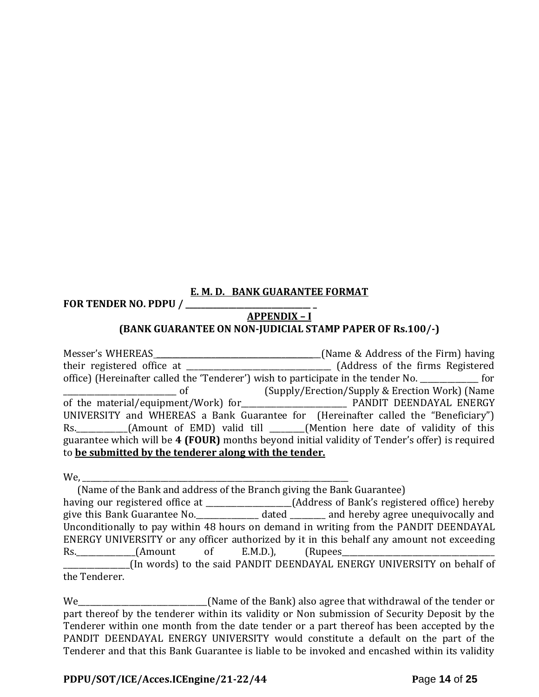## **E. M. D. BANK GUARANTEE FORMAT**

**FOR TENDER NO. PDPU / \_\_\_\_\_\_\_\_\_\_\_\_\_\_\_\_\_\_\_\_\_\_\_\_\_\_\_\_\_\_\_\_ \_**

## **APPENDIX – I**

## **(BANK GUARANTEE ON NON-JUDICIAL STAMP PAPER OF Rs.100/-)**

| Messer's WHEREAS                                                                                   | [Name & Address of the Firm] having             |  |  |  |
|----------------------------------------------------------------------------------------------------|-------------------------------------------------|--|--|--|
|                                                                                                    |                                                 |  |  |  |
| office) (Hereinafter called the 'Tenderer') wish to participate in the tender No. ____________ for |                                                 |  |  |  |
| <u>of</u>                                                                                          | (Supply/Erection/Supply & Erection Work) (Name) |  |  |  |
|                                                                                                    |                                                 |  |  |  |
| UNIVERSITY and WHEREAS a Bank Guarantee for (Hereinafter called the "Beneficiary")                 |                                                 |  |  |  |
| Rs. _________(Amount of EMD) valid till _____(Mention here date of validity of this                |                                                 |  |  |  |
| guarantee which will be 4 (FOUR) months beyond initial validity of Tender's offer) is required     |                                                 |  |  |  |
| to be submitted by the tenderer along with the tender.                                             |                                                 |  |  |  |

We, \_\_\_\_\_\_\_\_\_\_\_\_\_\_\_\_\_\_\_\_\_\_\_\_\_\_\_\_\_\_\_\_\_\_\_\_\_\_\_\_\_\_\_\_\_\_\_\_\_\_\_\_\_\_\_\_\_\_\_\_\_\_\_\_\_\_\_\_

|                                                                                                  |  |  | (Name of the Bank and address of the Branch giving the Bank Guarantee) |  |
|--------------------------------------------------------------------------------------------------|--|--|------------------------------------------------------------------------|--|
| having our registered office at ____________________(Address of Bank's registered office) hereby |  |  |                                                                        |  |
| give this Bank Guarantee No. ______________ dated ________ and hereby agree unequivocally and    |  |  |                                                                        |  |
| Unconditionally to pay within 48 hours on demand in writing from the PANDIT DEENDAYAL            |  |  |                                                                        |  |
| ENERGY UNIVERSITY or any officer authorized by it in this behalf any amount not exceeding        |  |  |                                                                        |  |
|                                                                                                  |  |  |                                                                        |  |
|                                                                                                  |  |  | (In words) to the said PANDIT DEENDAYAL ENERGY UNIVERSITY on behalf of |  |
| the Tenderer.                                                                                    |  |  |                                                                        |  |

We\_\_\_\_\_\_\_\_\_\_\_\_\_\_\_\_\_\_\_\_\_\_\_\_\_\_\_\_\_\_\_\_\_(Name of the Bank) also agree that withdrawal of the tender or part thereof by the tenderer within its validity or Non submission of Security Deposit by the Tenderer within one month from the date tender or a part thereof has been accepted by the PANDIT DEENDAYAL ENERGY UNIVERSITY would constitute a default on the part of the Tenderer and that this Bank Guarantee is liable to be invoked and encashed within its validity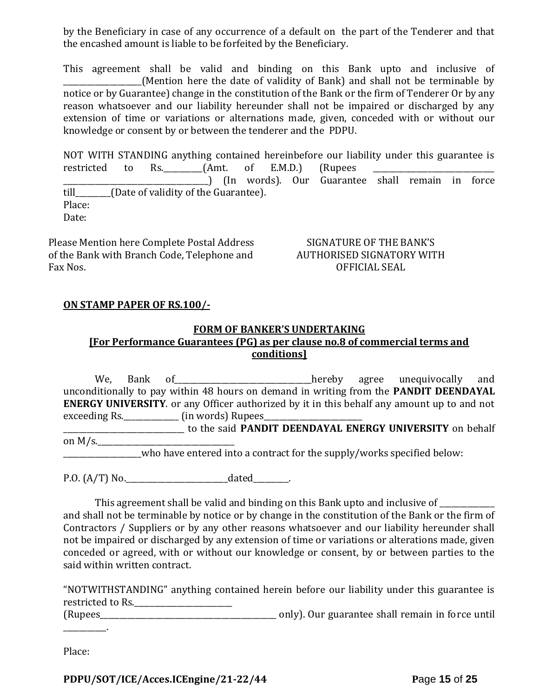by the Beneficiary in case of any occurrence of a default on the part of the Tenderer and that the encashed amount is liable to be forfeited by the Beneficiary.

This agreement shall be valid and binding on this Bank upto and inclusive of (Mention here the date of validity of Bank) and shall not be terminable by notice or by Guarantee) change in the constitution of the Bank or the firm of Tenderer Or by any reason whatsoever and our liability hereunder shall not be impaired or discharged by any extension of time or variations or alternations made, given, conceded with or without our knowledge or consent by or between the tenderer and the PDPU.

NOT WITH STANDING anything contained hereinbefore our liability under this guarantee is restricted to Rs.  $\frac{1}{2}$  (Amt. of E.M.D.) (Rupees \_\_\_\_\_\_\_\_\_\_\_\_\_\_\_\_\_\_\_\_\_\_\_\_\_\_\_\_\_\_\_\_\_\_\_\_\_) (In words). Our Guarantee shall remain in force till\_\_\_\_\_\_\_\_\_(Date of validity of the Guarantee). Place: Date:

Please Mention here Complete Postal Address of the Bank with Branch Code, Telephone and Fax Nos.

SIGNATURE OF THE BANK'S AUTHORISED SIGNATORY WITH OFFICIAL SEAL

#### **ON STAMP PAPER OF RS.100/-**

#### **FORM OF BANKER'S UNDERTAKING**

## **[For Performance Guarantees (PG) as per clause no.8 of commercial terms and conditions]**

We, Bank of <u>contain a set of</u> thereby agree unequivocally and unconditionally to pay within 48 hours on demand in writing from the **PANDIT DEENDAYAL ENERGY UNIVERSITY**. or any Officer authorized by it in this behalf any amount up to and not exceeding Rs. \_\_\_\_\_\_\_\_\_\_\_\_\_\_\_\_ (in words) Rupees\_ \_\_\_\_\_\_\_\_\_\_\_\_\_\_\_\_\_\_\_\_\_\_\_\_\_\_\_\_\_\_\_ to the said **PANDIT DEENDAYAL ENERGY UNIVERSITY** on behalf on  $M/s$ . \_\_\_\_\_\_\_\_\_\_\_\_\_\_\_\_\_\_\_\_who have entered into a contract for the supply/works specified below:

P.O. (A/T) No.\_\_\_\_\_\_\_\_\_\_\_\_\_\_\_\_\_\_\_\_\_\_\_\_\_\_dated\_\_\_\_\_\_\_\_\_.

This agreement shall be valid and binding on this Bank upto and inclusive of \_\_\_\_\_\_\_ and shall not be terminable by notice or by change in the constitution of the Bank or the firm of Contractors / Suppliers or by any other reasons whatsoever and our liability hereunder shall not be impaired or discharged by any extension of time or variations or alterations made, given conceded or agreed, with or without our knowledge or consent, by or between parties to the said within written contract.

"NOTWITHSTANDING" anything contained herein before our liability under this guarantee is restricted to Rs.

(Rupees\_\_\_\_\_\_\_\_\_\_\_\_\_\_\_\_\_\_\_\_\_\_\_\_\_\_\_\_\_\_\_\_\_\_\_\_\_\_\_\_\_\_\_\_\_ only). Our guarantee shall remain in force until

Place:

\_\_\_\_\_\_\_\_\_\_\_.

**PDPU/SOT/ICE/Acces.ICEngine/21-22/44 P**age **15** of **25**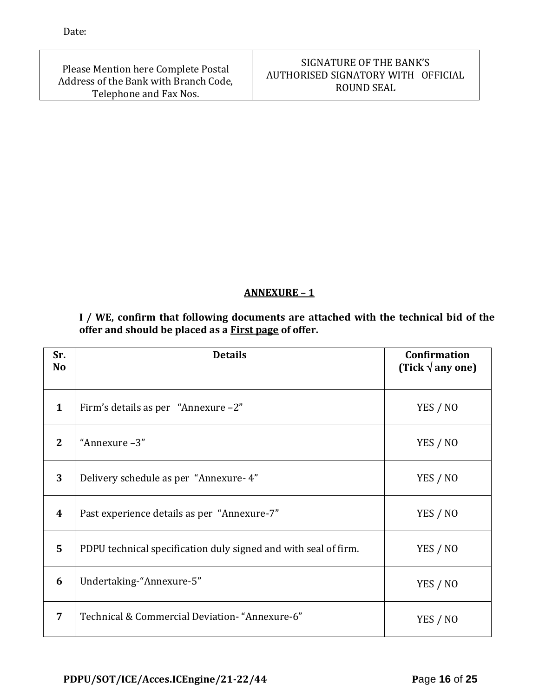Date:

Please Mention here Complete Postal Address of the Bank with Branch Code, Telephone and Fax Nos.

## SIGNATURE OF THE BANK'S AUTHORISED SIGNATORY WITH OFFICIAL ROUND SEAL

## **ANNEXURE – 1**

**I / WE, confirm that following documents are attached with the technical bid of the offer and should be placed as a First page of offer.**

| Sr.<br><b>No</b> | <b>Details</b>                                                  | <b>Confirmation</b><br>(Tick $\sqrt{$ any one) |
|------------------|-----------------------------------------------------------------|------------------------------------------------|
| 1                | Firm's details as per "Annexure -2"                             | YES / NO                                       |
| $\overline{2}$   | "Annexure -3"                                                   | YES / NO                                       |
| 3                | Delivery schedule as per "Annexure-4"                           | YES / NO                                       |
| $\boldsymbol{4}$ | Past experience details as per "Annexure-7"                     | YES / NO                                       |
| 5                | PDPU technical specification duly signed and with seal of firm. | YES / NO                                       |
| 6                | Undertaking-"Annexure-5"                                        | YES / NO                                       |
| 7                | Technical & Commercial Deviation- "Annexure-6"                  | YES / NO                                       |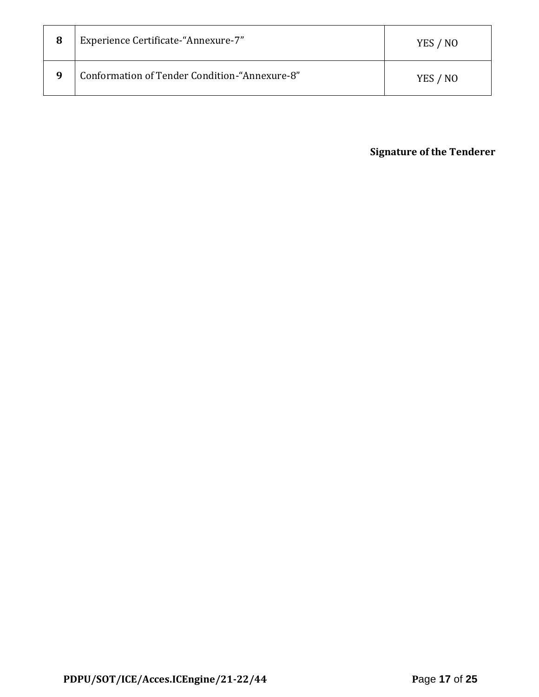| 8 | <b>Experience Certificate-"Annexure-7"</b>    | YES / NO |
|---|-----------------------------------------------|----------|
| q | Conformation of Tender Condition-"Annexure-8" | YES / NO |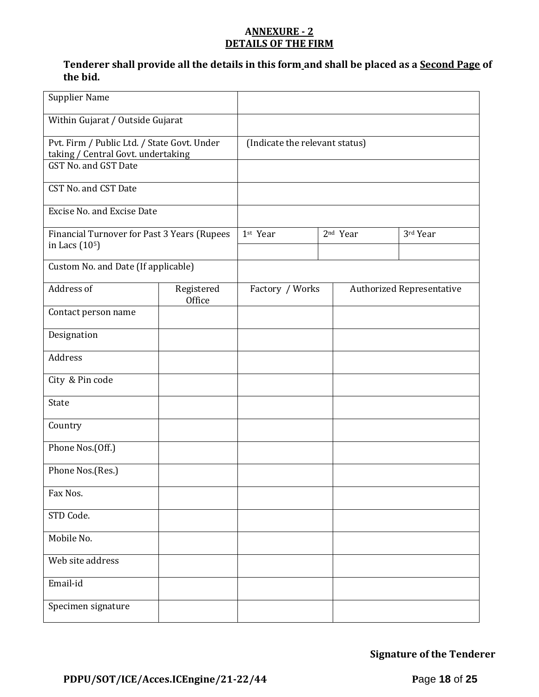#### **ANNEXURE - 2 DETAILS OF THE FIRM**

## **Tenderer shall provide all the details in this form and shall be placed as a Second Page of the bid.**

| <b>Supplier Name</b>                                                                                      |                                |          |                 |                      |                                  |
|-----------------------------------------------------------------------------------------------------------|--------------------------------|----------|-----------------|----------------------|----------------------------------|
| Within Gujarat / Outside Gujarat                                                                          |                                |          |                 |                      |                                  |
| Pvt. Firm / Public Ltd. / State Govt. Under<br>taking / Central Govt. undertaking<br>GST No. and GST Date | (Indicate the relevant status) |          |                 |                      |                                  |
| CST No. and CST Date                                                                                      |                                |          |                 |                      |                                  |
| <b>Excise No. and Excise Date</b>                                                                         |                                |          |                 |                      |                                  |
| Financial Turnover for Past 3 Years (Rupees<br>in Lacs (10 <sup>5</sup> )                                 |                                | 1st Year |                 | 2 <sup>nd</sup> Year | 3rd Year                         |
| Custom No. and Date (If applicable)                                                                       |                                |          |                 |                      |                                  |
| Address of                                                                                                | Registered<br>Office           |          | Factory / Works |                      | <b>Authorized Representative</b> |
| Contact person name                                                                                       |                                |          |                 |                      |                                  |
| Designation                                                                                               |                                |          |                 |                      |                                  |
| Address                                                                                                   |                                |          |                 |                      |                                  |
| City & Pin code                                                                                           |                                |          |                 |                      |                                  |
| State                                                                                                     |                                |          |                 |                      |                                  |
| Country                                                                                                   |                                |          |                 |                      |                                  |
| Phone Nos.(Off.)                                                                                          |                                |          |                 |                      |                                  |
| Phone Nos.(Res.)                                                                                          |                                |          |                 |                      |                                  |
| Fax Nos.                                                                                                  |                                |          |                 |                      |                                  |
| STD Code.                                                                                                 |                                |          |                 |                      |                                  |
| Mobile No.                                                                                                |                                |          |                 |                      |                                  |
| Web site address                                                                                          |                                |          |                 |                      |                                  |
| Email-id                                                                                                  |                                |          |                 |                      |                                  |
| Specimen signature                                                                                        |                                |          |                 |                      |                                  |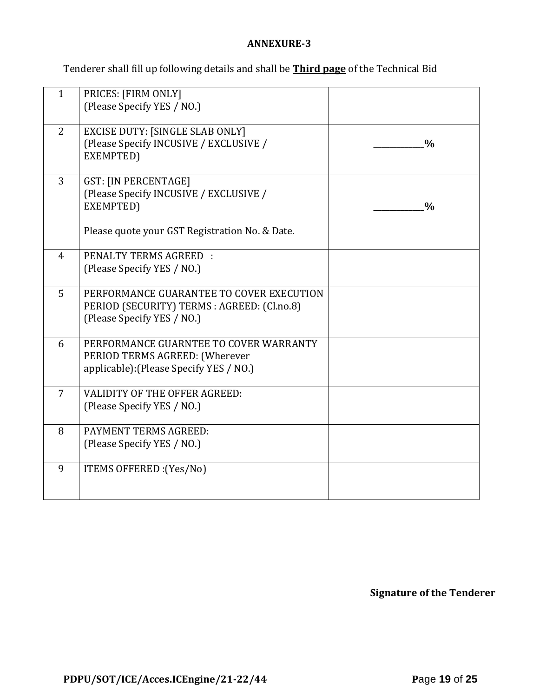## **ANNEXURE-3**

Tenderer shall fill up following details and shall be **Third page** of the Technical Bid

| $\mathbf{1}$   | PRICES: [FIRM ONLY]<br>(Please Specify YES / NO.)                                                                                    |               |
|----------------|--------------------------------------------------------------------------------------------------------------------------------------|---------------|
| 2              | <b>EXCISE DUTY: [SINGLE SLAB ONLY]</b><br>(Please Specify INCUSIVE / EXCLUSIVE /<br>EXEMPTED)                                        | $\frac{0}{0}$ |
| $\overline{3}$ | <b>GST: [IN PERCENTAGE]</b><br>(Please Specify INCUSIVE / EXCLUSIVE /<br>EXEMPTED)<br>Please quote your GST Registration No. & Date. | $\frac{0}{0}$ |
| $\overline{4}$ | <b>PENALTY TERMS AGREED:</b><br>(Please Specify YES / NO.)                                                                           |               |
| 5              | PERFORMANCE GUARANTEE TO COVER EXECUTION<br>PERIOD (SECURITY) TERMS : AGREED: (Cl.no.8)<br>(Please Specify YES / NO.)                |               |
| 6              | PERFORMANCE GUARNTEE TO COVER WARRANTY<br>PERIOD TERMS AGREED: (Wherever<br>applicable): (Please Specify YES / NO.)                  |               |
| $\overline{7}$ | <b>VALIDITY OF THE OFFER AGREED:</b><br>(Please Specify YES / NO.)                                                                   |               |
| 8              | PAYMENT TERMS AGREED:<br>(Please Specify YES / NO.)                                                                                  |               |
| 9              | ITEMS OFFERED : (Yes/No)                                                                                                             |               |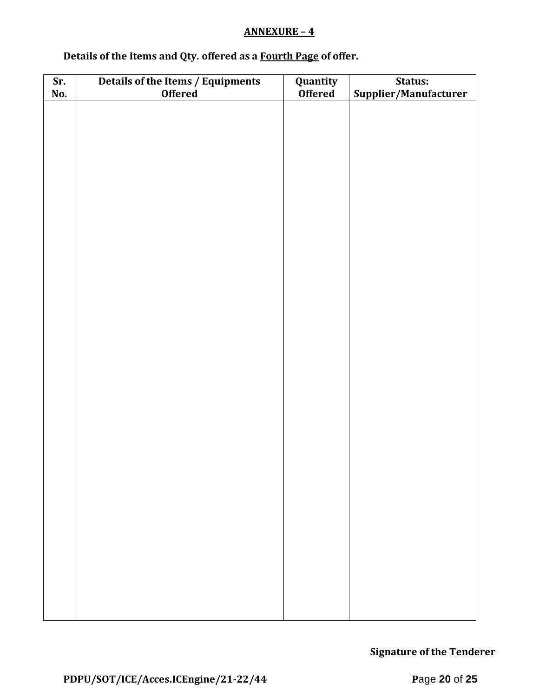## **ANNEXURE – 4**

# **Details of the Items and Qty. offered as a Fourth Page of offer.**

| Sr. | Details of the Items / Equipments | Quantity       | Status:               |
|-----|-----------------------------------|----------------|-----------------------|
| No. | <b>Offered</b>                    | <b>Offered</b> | Supplier/Manufacturer |
|     |                                   |                |                       |
|     |                                   |                |                       |
|     |                                   |                |                       |
|     |                                   |                |                       |
|     |                                   |                |                       |
|     |                                   |                |                       |
|     |                                   |                |                       |
|     |                                   |                |                       |
|     |                                   |                |                       |
|     |                                   |                |                       |
|     |                                   |                |                       |
|     |                                   |                |                       |
|     |                                   |                |                       |
|     |                                   |                |                       |
|     |                                   |                |                       |
|     |                                   |                |                       |
|     |                                   |                |                       |
|     |                                   |                |                       |
|     |                                   |                |                       |
|     |                                   |                |                       |
|     |                                   |                |                       |
|     |                                   |                |                       |
|     |                                   |                |                       |
|     |                                   |                |                       |
|     |                                   |                |                       |
|     |                                   |                |                       |
|     |                                   |                |                       |
|     |                                   |                |                       |
|     |                                   |                |                       |
|     |                                   |                |                       |
|     |                                   |                |                       |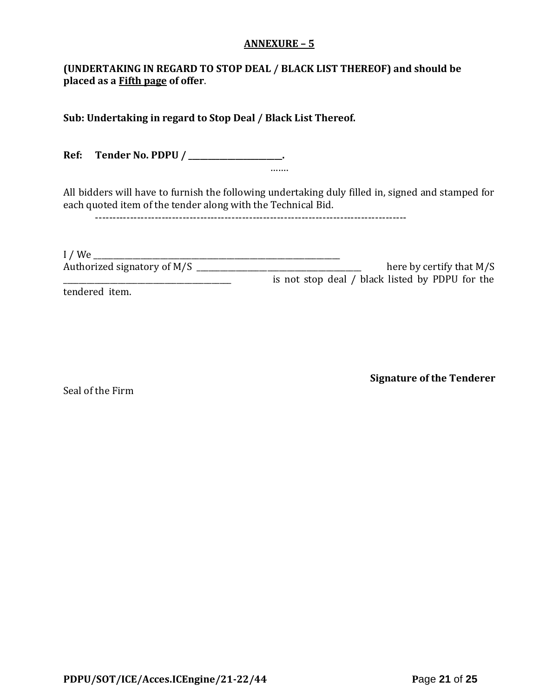#### **ANNEXURE – 5**

## **(UNDERTAKING IN REGARD TO STOP DEAL / BLACK LIST THEREOF) and should be placed as a Fifth page of offer**.

**Sub: Undertaking in regard to Stop Deal / Black List Thereof.**

**Ref: Tender No. PDPU / \_\_\_\_\_\_\_\_\_\_\_\_\_\_\_\_\_\_\_\_\_\_\_\_.** …….

All bidders will have to furnish the following undertaking duly filled in, signed and stamped for each quoted item of the tender along with the Technical Bid.

-----------------------------------------------------------------------------------------

| $I$ / We                    |                                                 |
|-----------------------------|-------------------------------------------------|
| Authorized signatory of M/S | here by certify that $M/S$                      |
|                             | is not stop deal / black listed by PDPU for the |
| tendered item.              |                                                 |

Seal of the Firm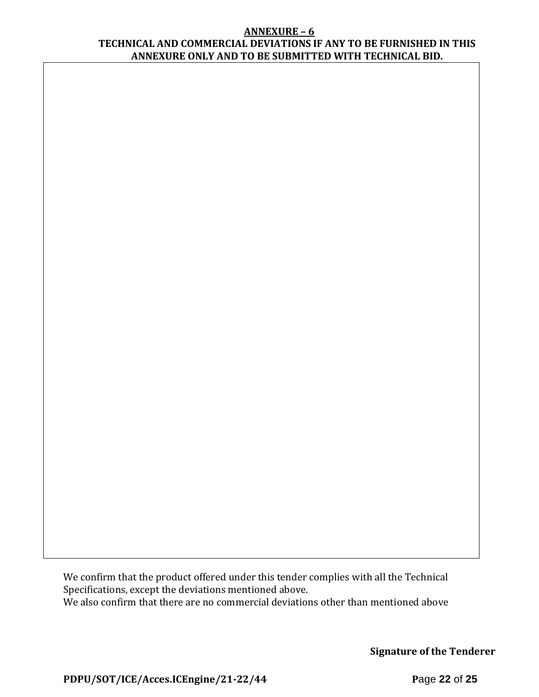#### **ANNEXURE – 6 TECHNICAL AND COMMERCIAL DEVIATIONS IF ANY TO BE FURNISHED IN THIS ANNEXURE ONLY AND TO BE SUBMITTED WITH TECHNICAL BID.**

We confirm that the product offered under this tender complies with all the Technical Specifications, except the deviations mentioned above. We also confirm that there are no commercial deviations other than mentioned above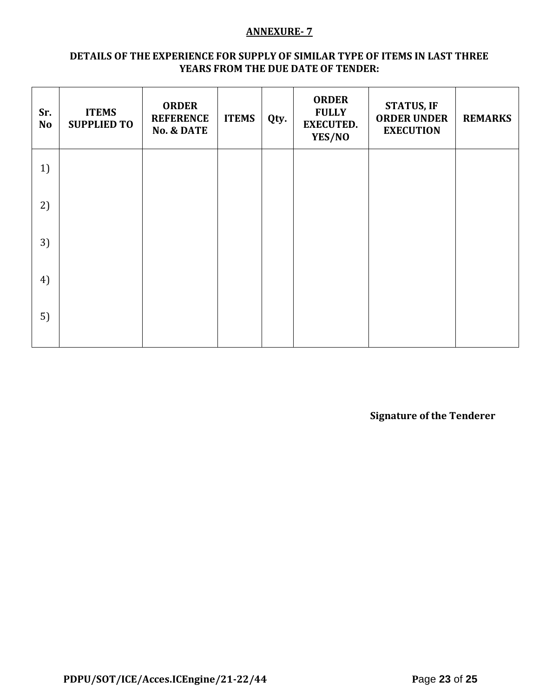#### **ANNEXURE- 7**

#### **DETAILS OF THE EXPERIENCE FOR SUPPLY OF SIMILAR TYPE OF ITEMS IN LAST THREE YEARS FROM THE DUE DATE OF TENDER:**

| Sr.<br><b>No</b> | <b>ITEMS</b><br><b>SUPPLIED TO</b> | <b>ORDER</b><br><b>REFERENCE</b><br><b>No. &amp; DATE</b> | <b>ITEMS</b> | Qty. | <b>ORDER</b><br><b>FULLY</b><br><b>EXECUTED.</b><br>YES/NO | <b>STATUS, IF</b><br><b>ORDER UNDER</b><br><b>EXECUTION</b> | <b>REMARKS</b> |
|------------------|------------------------------------|-----------------------------------------------------------|--------------|------|------------------------------------------------------------|-------------------------------------------------------------|----------------|
| 1)               |                                    |                                                           |              |      |                                                            |                                                             |                |
| 2)               |                                    |                                                           |              |      |                                                            |                                                             |                |
| 3)               |                                    |                                                           |              |      |                                                            |                                                             |                |
| 4)               |                                    |                                                           |              |      |                                                            |                                                             |                |
| 5)               |                                    |                                                           |              |      |                                                            |                                                             |                |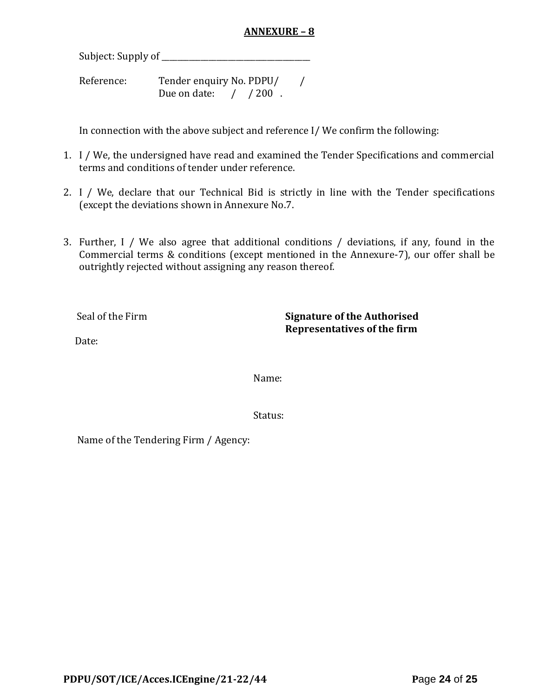## **ANNEXURE – 8**

Subject: Supply of \_\_\_\_\_\_\_\_\_\_\_\_\_\_\_\_\_\_\_\_\_\_\_\_\_\_\_\_\_\_\_\_\_\_\_\_\_\_

Reference: Tender enquiry No. PDPU/ / Due on date: / / 200.

In connection with the above subject and reference I/ We confirm the following:

- 1. I / We, the undersigned have read and examined the Tender Specifications and commercial terms and conditions of tender under reference.
- 2. I / We, declare that our Technical Bid is strictly in line with the Tender specifications (except the deviations shown in Annexure No.7.
- 3. Further, I / We also agree that additional conditions / deviations, if any, found in the Commercial terms & conditions (except mentioned in the Annexure-7), our offer shall be outrightly rejected without assigning any reason thereof.

Seal of the Firm **Signature of the Authorised Representatives of the firm**

Date:

Name:

Status:

Name of the Tendering Firm / Agency: